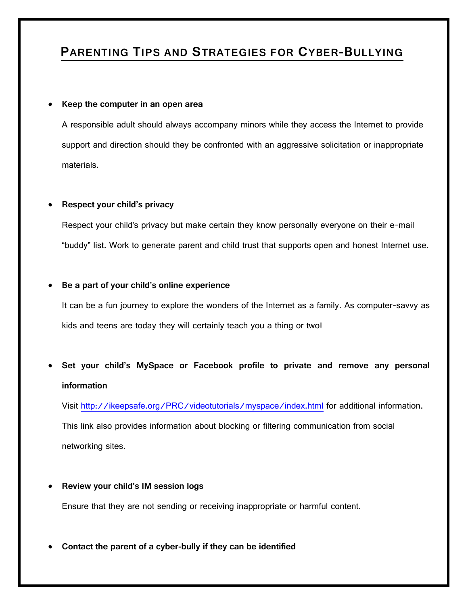### **PARENTING TIPS AND STRATEGIES FOR CYBER-BULLYING**

#### **Keep the computer in an open area**

A responsible adult should always accompany minors while they access the Internet to provide support and direction should they be confronted with an aggressive solicitation or inappropriate materials.

### **Respect your child's privacy**

Respect your child's privacy but make certain they know personally everyone on their e-mail "buddy" list. Work to generate parent and child trust that supports open and honest Internet use.

### **Be a part of your child's online experience**

It can be a fun journey to explore the wonders of the Internet as a family. As computer-savvy as kids and teens are today they will certainly teach you a thing or two!

 **Set your child's MySpace or Facebook profile to private and remove any personal information**

Visit<http://ikeepsafe.org/PRC/videotutorials/myspace/index.html> for additional information.

This link also provides information about blocking or filtering communication from social networking sites.

**Review your child's IM session logs**

Ensure that they are not sending or receiving inappropriate or harmful content.

**Contact the parent of a cyber-bully if they can be identified**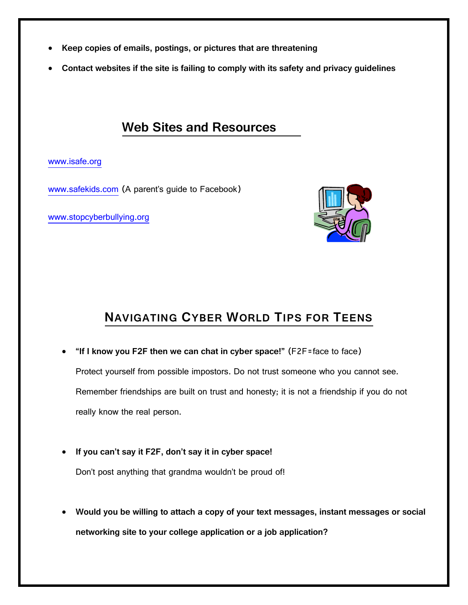- **Keep copies of emails, postings, or pictures that are threatening**
- **Contact websites if the site is failing to comply with its safety and privacy guidelines**

### **Web Sites and Resources**

### [www.isafe.org](http://www.isafe.org/)

[www.safekids.com](http://www.safekids.com/) (A parent's guide to Facebook)

[www.stopcyberbullying.org](http://www.stopcyberbullying.org/)



## **NAVIGATING CYBER WORLD TIPS FOR TEENS**

 **"If I know you F2F then we can chat in cyber space!"** (F2F=face to face) Protect yourself from possible impostors. Do not trust someone who you cannot see. Remember friendships are built on trust and honesty; it is not a friendship if you do not

really know the real person.

- **If you can't say it F2F, don't say it in cyber space!** Don't post anything that grandma wouldn't be proud of!
- **Would you be willing to attach a copy of your text messages, instant messages or social networking site to your college application or a job application?**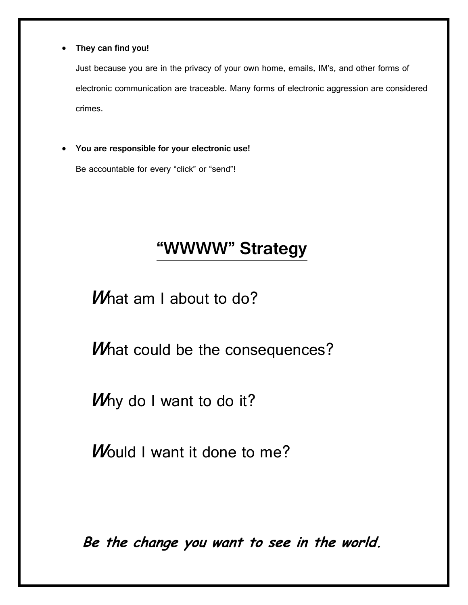**They can find you!**

Just because you are in the privacy of your own home, emails, IM's, and other forms of electronic communication are traceable. Many forms of electronic aggression are considered crimes.

**You are responsible for your electronic use!**

Be accountable for every "click" or "send"!

# **"WWWW" Strategy**

*What am I about to do?* 

*What could be the consequences?* 

**<sup>W</sup>**hy do I want to do it?

**W**ould I want it done to me?

**Be the change you want to see in the world.**